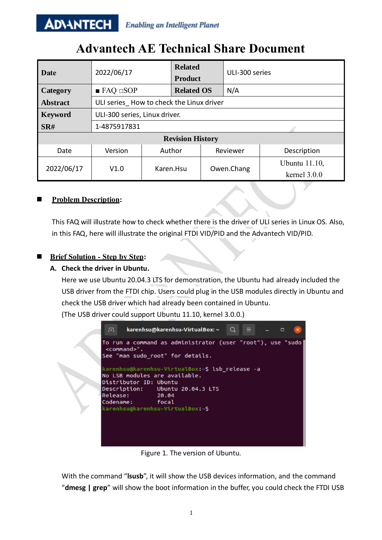#### **ADVANTECH Enabling an Intelligent Planet**

# **Advantech AE Technical Share Document**

| <b>Date</b>             | 2022/06/17                               |        | <b>Related</b><br><b>Product</b> |  | ULI-300 series |                                        |  |
|-------------------------|------------------------------------------|--------|----------------------------------|--|----------------|----------------------------------------|--|
| Category                | $\blacksquare$ FAQ $\square$ SOP         |        | <b>Related OS</b>                |  | N/A            |                                        |  |
| <b>Abstract</b>         | ULI series How to check the Linux driver |        |                                  |  |                |                                        |  |
| <b>Keyword</b>          | ULI-300 series, Linux driver.            |        |                                  |  |                |                                        |  |
| SR#                     | 1-4875917831                             |        |                                  |  |                |                                        |  |
| <b>Revision History</b> |                                          |        |                                  |  |                |                                        |  |
| Date                    | Version                                  | Author |                                  |  | Reviewer       | Description                            |  |
| 2022/06/17              | V1.0                                     |        | Karen.Hsu                        |  | Owen.Chang     | <b>Ubuntu</b> 11.10,<br>kernel $3.0.0$ |  |
|                         |                                          |        |                                  |  |                |                                        |  |

## ◼ **Problem Description:**

This FAQ will illustrate how to check whether there is the driver of ULI series in Linux OS. Also, in this FAQ, here will illustrate the original FTDI VID/PID and the Advantech VID/PID.

## ◼ **Brief Solution - Step by Step:**

### **A. Check the driver in Ubuntu.**

Here we use Ubuntu 20.04.3 LTS for demonstration, the Ubuntu had already included the USB driver from the FTDI chip. Users could plug in the USB modules directly in Ubuntu and check the USB driver which had already been contained in Ubuntu. (The USB driver could support Ubuntu 11.10, kernel 3.0.0.)

karenhsu@karenhsu-VirtualBox: ~ 曱  $\Omega$  $\Box$ To run a command as administrator (user "root"), use "sudo <command>" See "man sudo root" for details. karenhsu@karenhsu-VirtualBox:~\$ lsb release -a No LSB modules are available. Distributor ID: Ubuntu Description: Ubuntu 20.04.3 LTS Release: 20.04 focal Codename: karenhsu@karenhsu-VirtualBox:~\$

Figure 1. The version of Ubuntu.

With the command "**lsusb**", it will show the USB devices information, and the command "**dmesg | grep**" will show the boot information in the buffer, you could check the FTDI USB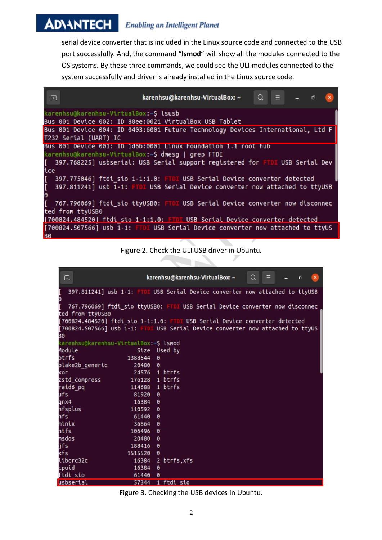#### **ADVANTECH Enabling an Intelligent Planet**

serial device converter that is included in the Linux source code and connected to the USB port successfully. And, the command "**lsmod**" will show all the modules connected to the OS systems. By these three commands, we could see the ULI modules connected to the system successfully and driver is already installed in the Linux source code.

| karenhsu@karenhsu-VirtualBox: ~<br>Q<br>$\equiv$ $ \sigma$<br>田                                                                                                                                            |  |
|------------------------------------------------------------------------------------------------------------------------------------------------------------------------------------------------------------|--|
| karenhsu@karenhsu-VirtualBox:~\$ lsusb<br>Bus 001 Device 002: ID 80ee:0021 VirtualBox USB Tablet                                                                                                           |  |
| Bus 001 Device 004: ID 0403:6001 Future Technology Devices International, Ltd F<br>T232 Serial (UART) IC                                                                                                   |  |
| Bus 001 Device 001: ID 1d6b:0001 Linux Foundation 1.1 root hub<br>karenhsu@karenhsu-VirtualBox:~\$ dmesg   grep FTDI<br>397.768225] usbserial: USB Serial support registered for FTDI USB Serial Dev<br>E. |  |
| ice<br>E.<br>397.775046] ftdi_sio 1-1:1.0: FTDI USB Serial Device converter detected                                                                                                                       |  |
| $\mathbb{I}$<br>397.811241] usb 1-1: FTDI USB Serial Device converter now attached to ttyUSB<br>$\theta$                                                                                                   |  |
| E.<br>767.796069] ftdi sio ttyUSB0: FTDI USB Serial Device converter now disconnec<br>ted from ttyUSB0                                                                                                     |  |
| [700824.484520] ftdi sio 1-1:1.0: FTDI USB Serial Device converter detected<br>[700824.507566] usb 1-1: FTDI USB Serial Device converter now attached to ttyUS<br>B <sub>0</sub>                           |  |

Figure 2. Check the ULI USB driver in Ubuntu.

جي تا

| 丑                                                                               |                | $Q_{\parallel}$ =<br>karenhsu@karenhsu-VirtualBox: ~<br>$\mathbf{x}$<br>ō    |  |  |  |  |  |
|---------------------------------------------------------------------------------|----------------|------------------------------------------------------------------------------|--|--|--|--|--|
| [<br>0                                                                          |                | 397.811241] usb 1-1: FTDI USB Serial Device converter now attached to ttyUSB |  |  |  |  |  |
| ſ.                                                                              |                | 767.796069] ftdi_sio ttyUSB0: FTDI USB Serial Device converter now disconnec |  |  |  |  |  |
| ted from ttyUSB0                                                                |                |                                                                              |  |  |  |  |  |
| [700824.484520] ftdi_sio 1-1:1.0: FTDI USB Serial Device converter detected     |                |                                                                              |  |  |  |  |  |
| [700824.507566] usb 1-1: FTDI USB Serial Device converter now attached to ttyUS |                |                                                                              |  |  |  |  |  |
| BΘ                                                                              |                |                                                                              |  |  |  |  |  |
| karenhsu@karenhsu-VirtualBox:~\$ lsmod                                          |                |                                                                              |  |  |  |  |  |
| Module                                                                          |                | Size Used by                                                                 |  |  |  |  |  |
| btrfs                                                                           | 1388544        | $\boldsymbol{\theta}$                                                        |  |  |  |  |  |
| blake2b_generic                                                                 | 20480 0        |                                                                              |  |  |  |  |  |
| хог                                                                             |                | 24576 1 btrfs                                                                |  |  |  |  |  |
| zstd_compress                                                                   | 176128 1 btrfs |                                                                              |  |  |  |  |  |
| raid6 pq                                                                        |                | 114688 1 btrfs                                                               |  |  |  |  |  |
| ufs                                                                             | 81920          | $\theta$                                                                     |  |  |  |  |  |
| qnx4                                                                            | 16384          | 0                                                                            |  |  |  |  |  |
| hfsplus                                                                         | 110592 0       |                                                                              |  |  |  |  |  |
| hfs                                                                             | 61440 0        |                                                                              |  |  |  |  |  |
| minix                                                                           | 36864          | $\boldsymbol{\theta}$                                                        |  |  |  |  |  |
| ntfs                                                                            | 106496 0       |                                                                              |  |  |  |  |  |
| msdos                                                                           | 20480 0        |                                                                              |  |  |  |  |  |
| jfs                                                                             | 188416 0       |                                                                              |  |  |  |  |  |
| xfs                                                                             | 1515520        | $\theta$                                                                     |  |  |  |  |  |
| libcrc32c                                                                       |                | 16384 2 btrfs, xfs                                                           |  |  |  |  |  |
| cpuid                                                                           | 16384          | $\theta$                                                                     |  |  |  |  |  |
| ftdi_sio                                                                        | 61440          | $\boldsymbol{\theta}$                                                        |  |  |  |  |  |
| uchcarial                                                                       |                | $57344$ 1 ftdi cin                                                           |  |  |  |  |  |

Figure 3. Checking the USB devices in Ubuntu.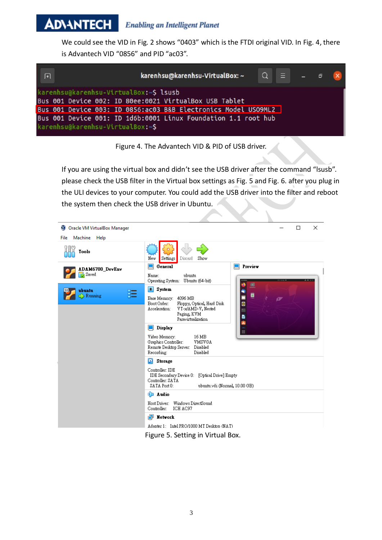#### AD\4NTECH **Enabling an Intelligent Planet**

We could see the VID in Fig. 2 shows "0403" which is the FTDI original VID. In Fig. 4, there is Advantech VID "0856" and PID "ac03".





If you are using the virtual box and didn't see the USB driver after the command "lsusb". please check the USB filter in the Virtual box settings as Fig. 5 and Fig. 6. after you plug in the ULI devices to your computer. You could add the USB driver into the filter and reboot the system then check the USB driver in Ubuntu.



Figure 5. Setting in Virtual Box.